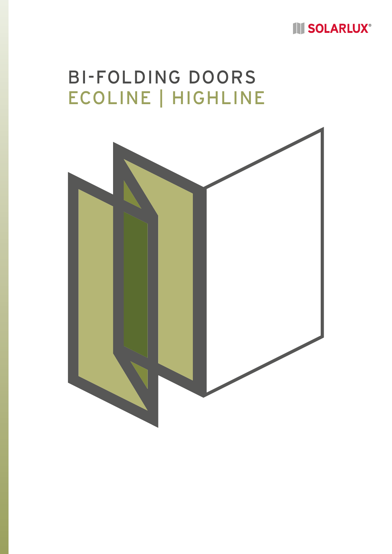## **III SOLARLUX®**

# BI-FOLDING DOORS ECOLINE | HIGHLINE

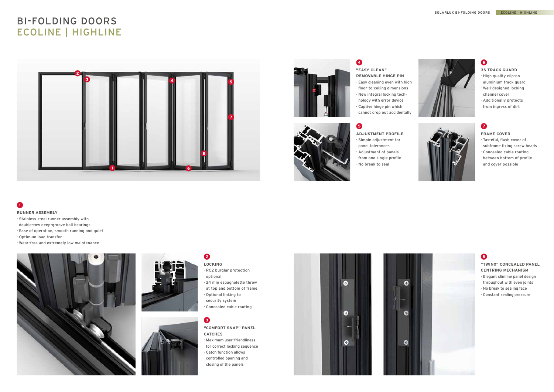### **"COMFORT SNAP" PANEL CATCHES**

### 2 **LOCKING**

- · Maximum user-friendliness for correct locking sequence
- · Catch function allows controlled opening and closing of the panels





- · RC2 burglar protection optional
- · 24 mm espagnolette throw
- at top and bottom of frame
- · Optional linking to
- security system
- · Concealed cable routing

### $\bullet$

### **RUNNER ASSEMBLY**

- · Stainless steel runner assembly with
- double-row deep-groove ball bearings
- · Ease of operation, smooth running and quiet
- · Optimum load transfer
- · Wear-free and extremely low maintenance







### **FRAME COVER**

- · Tasteful, flush cover of subframe fixing screw heads
- · Concealed cable routing between bottom of profile and cover possible



### 8

- **ADJUSTMENT PROFILE**  · Simple adjustment for
- panel tolerances · Adjustment of panels from one single profile · No break to seal

### $\bullet$

### **3S TRACK GUARD**

- · High quality clip-on aluminium track guard
- · Well-designed locking channel cover
- · Additionally protects from ingress of dirt



### $\bullet$

**"EASY CLEAN" REMOVABLE HINGE PIN** 

- · Easy cleaning even with high
- floor-to-ceiling dimensions · New integral locking tech-
- nology with error device · Captive hinge pin which
- cannot drop out accidentally

## 6

### **"TWINX" CONCEALED PANEL CENTRING MECHANISM**

- · Elegant slimline panel design throughout with even joints
- · No break to sealing face
- · Constant sealing pressure

## BI-FOLDING DOORS ECOLINE | HIGHLINE





## $\bullet$



### 6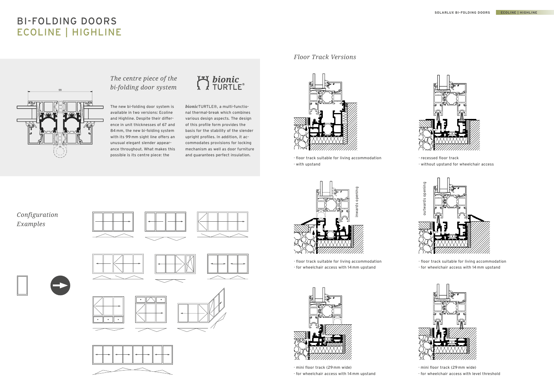### *Floor Track Versions*

· mini floor track (29 mm wide) · for wheelchair access with 14 mm upstand



· mini floor track (29 mm wide) · for wheelchair access with level threshold





· floor track suitable for living accommodation · with upstand

# BI-FOLDING DOORS ECOLINE | HIGHLINE





· recessed floor track · without upstand for wheelchair access



The new bi-folding door system is available in two versions: Ecoline and Highline. Despite their difference in unit thicknesses of 67 and 84 mm, the new bi-folding system with its 99 mm sight line offers an unusual elegant slender appearance throughout. What makes this possible is its centre piece: the



*bionic*TURTLE®, a multi-functional thermal-break which combines various design aspects. The design of this profile form provides the basis for the stability of the slender upright profiles. In addition, it accommodates provisions for locking mechanism as well as door furniture and guarantees perfect insulation.

· floor track suitable for living accommodation



· floor track suitable for living accommodation



## *The centre piece of the bi-folding door system*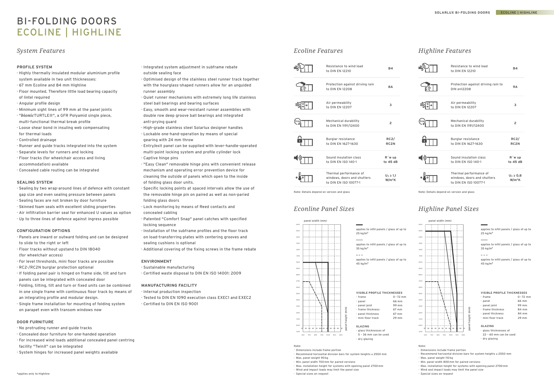# BI-FOLDING DOORS ECOLINE | HIGHLINE

### *System Features*

### **PROFILE SYSTEM**

- · Highly thermally insulated modular aluminium profile system available in two unit thicknesses:
- · 67 mm Ecoline and 84 mm Highline
- · Floor mounted. Therefore little load bearing capacity of lintel required
- · Angular profile design
- · Minimum sight lines of 99 mm at the panel joints
- · "*bionic*TURTLE®", a GFR Polyamid single piece, multi-functional thermal break profile
- · Loose shear bond in insuling web compensating for thermal loads
- · Controlled drainage
- · Runner and guide tracks integrated into the system
- · Separate levels for runners and locking
- · Floor tracks (for wheelchair access and living accommodation) available
- · Concealed cable routing can be integrated

#### **SEALING SYSTEM**

- · Sealing by two wrap-around lines of defence with constant gap size and even sealing pressure between panels
- · Sealing faces are not broken by door furniture
- · Skinned foam seals with excellent sliding properties
- · Air infiltration barrier seal for enhanced U values as option
- · Up to three lines of defence against ingress possible

### **CONFIGURATION OPTIONS**

- · Panels are inward or outward folding and can be designed to slide to the right or left
- · Floor tracks without upstand to DIN 18040 (for wheelchair access)
- · For level thresholds, mini floor tracks are possible
- · RC2-/RC2N burglar protection optional
- · If folding panel pair is hinged on frame side, tilt and turn panels can be integrated with concealed door
- · Folding, tilting, tilt and turn or fixed units can be combined in one single frame with continuous floor track by means of an integrating profile and modular design.
- · Single frame installation for mounting of folding system on parapet even with transom windows now

### **DOOR FURNITURE**

- · No protruding runner and guide tracks
- · Concealed door furniture for one-handed operation
- · For increased wind loads additional concealed panel centring facility "TwinX" can be integrated
- · System hinges for increased panel weights available

 $340$ 3500

- · Integrated system adjustment in subframe rebate outside sealing face
- · Optimised design of the stainless steel runner track together with the hourglass-shaped runners allow for an unguided
- runner assembly
- · Quiet runner mechanisms with extremely long life stainless steel ball bearings and bearing surfaces
- · Easy, smooth and wear-resistant runner assemblies with double row deep groove ball bearings and integrated anti-prying guard
- · High-grade stainless steel Solarlux designer handles
- · Lockable one-hand-operation by means of special gearing with 24 mm throw
- · Entry/exit panel can be supplied with lever-handle-operated multi-point locking system and profile cylinder lock
- · Captive hinge pins
- · "Easy Clean" removable hinge pins with convenient release mechanism and operating error prevention device for cleaning the outside of panels which open to the inside of folding glass door units.
- · Specific locking points at spaced intervals allow the use of the removable hinge pin on paired as well as non-paried folding glass doors
- · Lock monitoring by means of Reed contacts and concealed cabling
- · Patented "Comfort Snap" panel catches with specified locking sequence
- · Installation of the subframe profiles and the floor track on load-transferring plates with centering grooves and sealing cushions is optional
- · Additional covering of the fixing screws in the frame rebate

### **ENVIRONMENT**

- · Sustainable manufacturing
- · Certified waste disposal to DIN EN ISO 14001: 2009

### **MANUFACTURING FACILITY**

- · Internal production inspection
- · Tested to DIN EN 1090 execution class EXEC1 and EXEC2
- · Certified to DIN EN ISO 9001

#### **VISIBLE PROFILE THICKNESSES**

- · frame 0– 72 mm
- · panel 66 mm

- · panel joint 99 mm
- frame thickness 84 mm
- · panel thickness 84 mm
- mini floor track 29 mm
- **GLAZING**
- · glass thicknesses of
- 22 60 mm can be used
- · dry glazing

### *Econline Panel Sizes Highline Panel Sizes*

### *Ecoline Features Highline Features*

| Resistance to wind load<br>to DIN EN 12210                                     | <b>B4</b>                            |
|--------------------------------------------------------------------------------|--------------------------------------|
| Protection against driving rain to<br>DIN en12208                              | 9 A                                  |
| Air permeability<br>to DIN EN 12207                                            | 3                                    |
| Mechanical durability<br>to DIN EN 1191/12400                                  | $\overline{2}$                       |
| Burglar resistance<br>to DIN EN 1627-1630                                      | RC2/<br>RC <sub>2N</sub>             |
| Sound insulation class<br>to DIN EN ISO 140-1                                  | R'w up<br>to 45 dB                   |
| Thermal performance of<br>windows, doors and shutters<br>to DIN EN ISO 10077-1 | $U_w \geq 0.8$<br>W/m <sup>2</sup> K |



| Resistance to wind load<br>to DIN EN 12210                                     | <b>B4</b>                           |
|--------------------------------------------------------------------------------|-------------------------------------|
| Protection against driving rain<br>to DIN EN 12208                             | <b>8A</b>                           |
| Air permeability<br>to DIN FN 12207                                            | 3                                   |
| Mechanical durability<br>to DIN EN 1191/12400                                  | $\overline{2}$                      |
| Burglar resistance<br>to DIN FN 1627-1630                                      | RC2/<br>RC <sub>2N</sub>            |
| Sound insulation class<br>to DIN EN ISO 140-1                                  | R'w up<br>to $45dB$                 |
| Thermal performance of<br>windows, doors and shutters<br>to DIN EN ISO 10077-1 | $U_w \ge 1.1$<br>W/m <sup>2</sup> K |

Note: Details depend on version and glass Note: Details depend on version and glass



applies to infill panels / glass of up to 25 kg/m**<sup>2</sup>**

applies to infill panels / glass of up to 35 kg/m**<sup>2</sup>**

applies to infill panels / glass of up to 45 kg/m**<sup>2</sup>**

Note:

220 <sup>230</sub></sup>  $240$ <sub>250</sub> <sub>260</sub>

 $310$ 

- · Dimensions include frame portion
- · Recommend horizontal division bars for system heights ≥ 2550 mm Max. panel weight 90 kg
- · Min. panel width 700 mm for paired versions
- · Max. installation height for systems with opening panel 2700 mm
- Wind and impact loads may limit the panel size
- · Special sizes on request
- Note:
- · Dimensions include frame portion
- · Recommend horizontal division bars for system heights ≥ 2550 mm Max. panel weight 110 kg
- Min. panel width 800 mm for paired versions
- · Max. installation height for systems with opening panel 2700 mm
- Wind and impact loads may limit the panel size
- · Special sizes on request